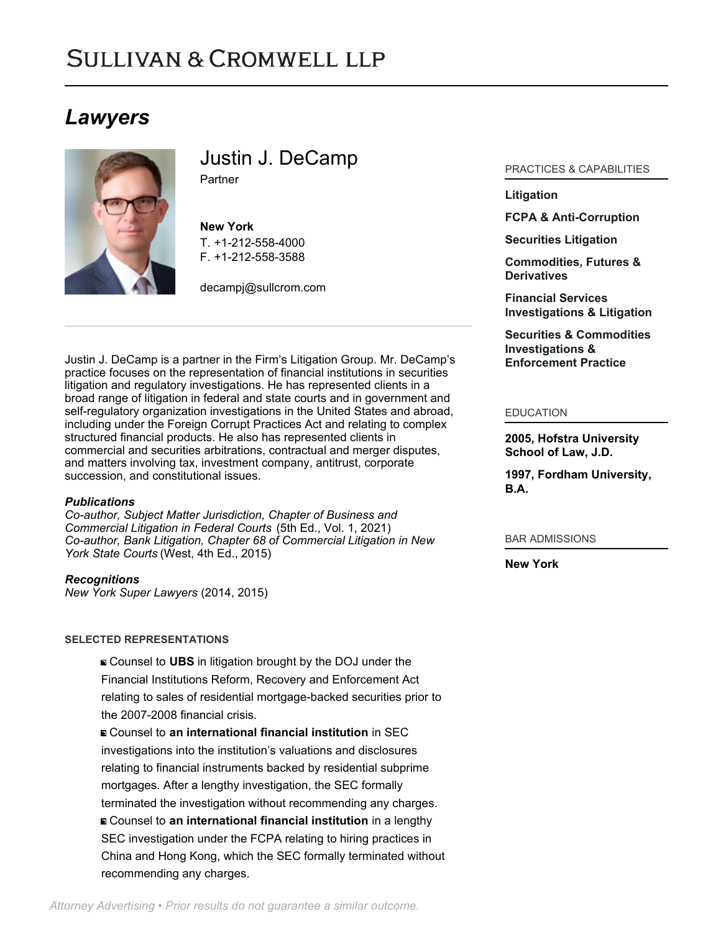# **SULLIVAN & CROMWELL LLP**

## *Lawyers*



Justin J. DeCamp **Partner** 

**New York** T. [+1-212-558-4000](tel:+1-212-558-4000) F. [+1-212-558-3588](tel:+1-212-558-3588)

[decampj@sullcrom.com](https://www.sullcrom.com/email-disclaimer?profsid=lawyers/JustinJ-DeCamp)

Justin J. DeCamp is a partner in the Firm's Litigation Group. Mr. DeCamp's practice focuses on the representation of financial institutions in securities litigation and regulatory investigations. He has represented clients in a broad range of litigation in federal and state courts and in government and self-regulatory organization investigations in the United States and abroad, including under the Foreign Corrupt Practices Act and relating to complex structured financial products. He also has represented clients in commercial and securities arbitrations, contractual and merger disputes, and matters involving tax, investment company, antitrust, corporate succession, and constitutional issues.

## *Publications*

*Co-author, Subject Matter Jurisdiction, Chapter of Business and Commercial Litigation in Federal Courts* (5th Ed., Vol. 1, 2021) *Co-author, Bank Litigation, Chapter 68 of Commercial Litigation in New York State Courts* (West, 4th Ed., 2015)

*Recognitions*

*New York Super Lawyers* (2014, 2015)

## **SELECTED REPRESENTATIONS**

Counsel to **UBS** in litigation brought by the DOJ under the Financial Institutions Reform, Recovery and Enforcement Act relating to sales of residential mortgage-backed securities prior to the 2007-2008 financial crisis.

Counsel to **an international financial institution** in SEC investigations into the institution's valuations and disclosures relating to financial instruments backed by residential subprime mortgages. After a lengthy investigation, the SEC formally terminated the investigation without recommending any charges. Counsel to **an international financial institution** in a lengthy SEC investigation under the FCPA relating to hiring practices in China and Hong Kong, which the SEC formally terminated without recommending any charges.

## PRACTICES & CAPABILITIES

## **[Litigation](https://www.sullcrom.com/Litigation-Practices)**

**[FCPA & Anti-Corruption](https://www.sullcrom.com/fcpa-and-anti-corruption)** 

**[Securities Litigation](https://www.sullcrom.com/Securities-Litigation-Practices)**

**[Commodities, Futures &](https://www.sullcrom.com/Commodities-Futures-and-Derivatives-Practices) [Derivatives](https://www.sullcrom.com/Commodities-Futures-and-Derivatives-Practices)**

**[Financial Services](https://www.sullcrom.com/bank-related-investigation-and-litigation) [Investigations & Litigation](https://www.sullcrom.com/bank-related-investigation-and-litigation)**

**[Securities & Commodities](https://www.sullcrom.com/securities-commodities-investigations-enforcement-practice) [Investigations &](https://www.sullcrom.com/securities-commodities-investigations-enforcement-practice) [Enforcement Practice](https://www.sullcrom.com/securities-commodities-investigations-enforcement-practice)**

#### EDUCATION

**2005, Hofstra University School of Law, J.D.** 

**1997, Fordham University, B.A.** 

## BAR ADMISSIONS

**New York**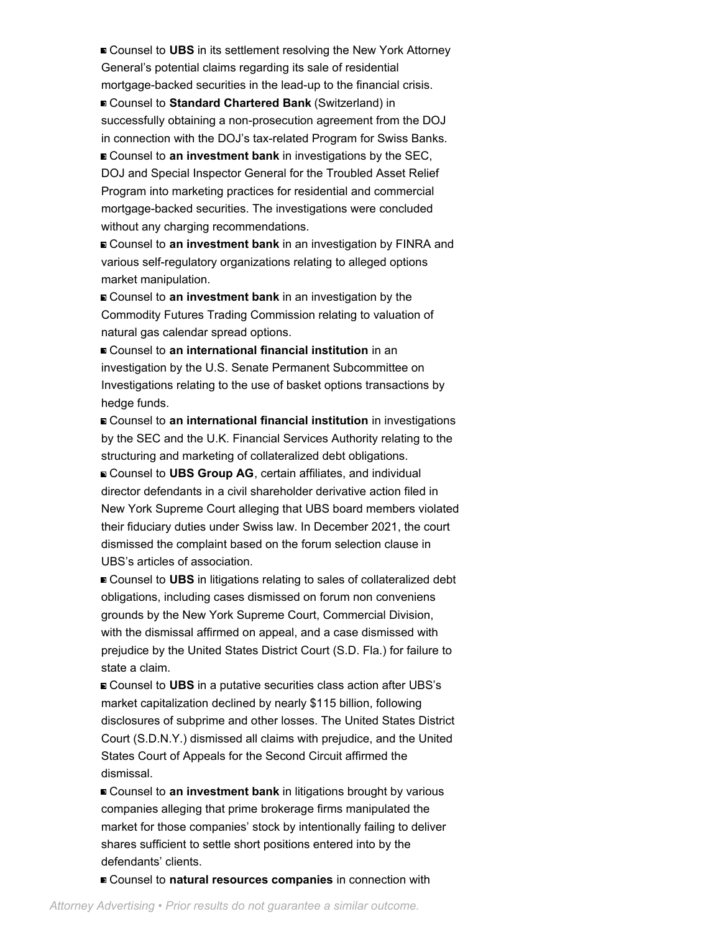■ Counsel to UBS in its settlement resolving the New York Attorney General's potential claims regarding its sale of residential mortgage-backed securities in the lead-up to the financial crisis.

■ Counsel to **Standard Chartered Bank** (Switzerland) in successfully obtaining a non-prosecution agreement from the DOJ in connection with the DOJ's tax-related Program for Swiss Banks. Counsel to **an investment bank** in investigations by the SEC, DOJ and Special Inspector General for the Troubled Asset Relief Program into marketing practices for residential and commercial mortgage-backed securities. The investigations were concluded without any charging recommendations.

Counsel to **an investment bank** in an investigation by FINRA and various self-regulatory organizations relating to alleged options market manipulation.

Counsel to **an investment bank** in an investigation by the Commodity Futures Trading Commission relating to valuation of natural gas calendar spread options.

Counsel to **an international financial institution** in an investigation by the U.S. Senate Permanent Subcommittee on Investigations relating to the use of basket options transactions by hedge funds.

Counsel to **an international financial institution** in investigations by the SEC and the U.K. Financial Services Authority relating to the structuring and marketing of collateralized debt obligations.

Counsel to **UBS Group AG**, certain affiliates, and individual director defendants in a civil shareholder derivative action filed in New York Supreme Court alleging that UBS board members violated their fiduciary duties under Swiss law. In December 2021, the court dismissed the complaint based on the forum selection clause in UBS's articles of association.

■ Counsel to UBS in litigations relating to sales of collateralized debt obligations, including cases dismissed on forum non conveniens grounds by the New York Supreme Court, Commercial Division, with the dismissal affirmed on appeal, and a case dismissed with prejudice by the United States District Court (S.D. Fla.) for failure to state a claim.

■ Counsel to UBS in a putative securities class action after UBS's market capitalization declined by nearly \$115 billion, following disclosures of subprime and other losses. The United States District Court (S.D.N.Y.) dismissed all claims with prejudice, and the United States Court of Appeals for the Second Circuit affirmed the dismissal.

■ Counsel to **an investment bank** in litigations brought by various companies alleging that prime brokerage firms manipulated the market for those companies' stock by intentionally failing to deliver shares sufficient to settle short positions entered into by the defendants' clients.

Counsel to **natural resources companies** in connection with